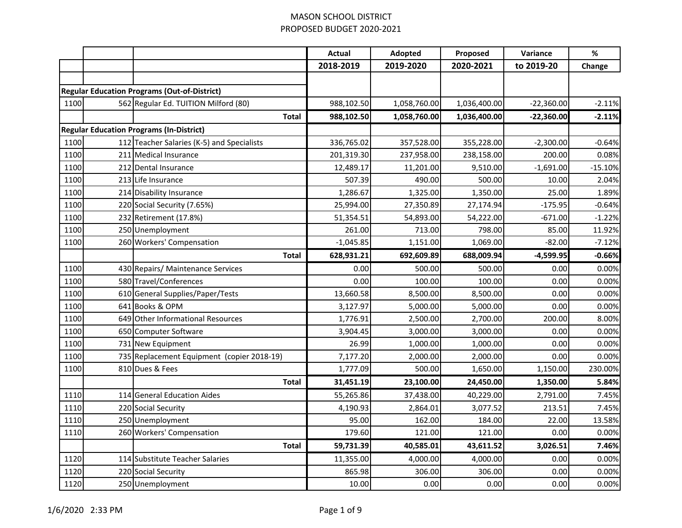|      |                                                     | <b>Actual</b> | Adopted      | Proposed     | Variance     | $\%$      |
|------|-----------------------------------------------------|---------------|--------------|--------------|--------------|-----------|
|      |                                                     | 2018-2019     | 2019-2020    | 2020-2021    | to 2019-20   | Change    |
|      |                                                     |               |              |              |              |           |
|      | <b>Regular Education Programs (Out-of-District)</b> |               |              |              |              |           |
| 1100 | 562 Regular Ed. TUITION Milford (80)                | 988,102.50    | 1,058,760.00 | 1,036,400.00 | $-22,360.00$ | $-2.11%$  |
|      | <b>Total</b>                                        | 988,102.50    | 1,058,760.00 | 1,036,400.00 | $-22,360.00$ | $-2.11%$  |
|      | <b>Regular Education Programs (In-District)</b>     |               |              |              |              |           |
| 1100 | 112 Teacher Salaries (K-5) and Specialists          | 336,765.02    | 357,528.00   | 355,228.00   | $-2,300.00$  | $-0.64%$  |
| 1100 | 211 Medical Insurance                               | 201,319.30    | 237,958.00   | 238,158.00   | 200.00       | 0.08%     |
| 1100 | 212 Dental Insurance                                | 12,489.17     | 11,201.00    | 9,510.00     | $-1,691.00$  | $-15.10%$ |
| 1100 | 213 Life Insurance                                  | 507.39        | 490.00       | 500.00       | 10.00        | 2.04%     |
| 1100 | 214 Disability Insurance                            | 1,286.67      | 1,325.00     | 1,350.00     | 25.00        | 1.89%     |
| 1100 | 220 Social Security (7.65%)                         | 25,994.00     | 27,350.89    | 27,174.94    | $-175.95$    | $-0.64%$  |
| 1100 | 232 Retirement (17.8%)                              | 51,354.51     | 54,893.00    | 54,222.00    | $-671.00$    | $-1.22%$  |
| 1100 | 250 Unemployment                                    | 261.00        | 713.00       | 798.00       | 85.00        | 11.92%    |
| 1100 | 260 Workers' Compensation                           | $-1,045.85$   | 1,151.00     | 1,069.00     | $-82.00$     | $-7.12%$  |
|      | <b>Total</b>                                        | 628,931.21    | 692,609.89   | 688,009.94   | $-4,599.95$  | $-0.66%$  |
| 1100 | 430 Repairs/ Maintenance Services                   | 0.00          | 500.00       | 500.00       | 0.00         | 0.00%     |
| 1100 | 580 Travel/Conferences                              | 0.00          | 100.00       | 100.00       | 0.00         | 0.00%     |
| 1100 | 610 General Supplies/Paper/Tests                    | 13,660.58     | 8,500.00     | 8,500.00     | 0.00         | 0.00%     |
| 1100 | 641 Books & OPM                                     | 3,127.97      | 5,000.00     | 5,000.00     | 0.00         | 0.00%     |
| 1100 | 649 Other Informational Resources                   | 1,776.91      | 2,500.00     | 2,700.00     | 200.00       | 8.00%     |
| 1100 | 650 Computer Software                               | 3,904.45      | 3,000.00     | 3,000.00     | 0.00         | 0.00%     |
| 1100 | 731 New Equipment                                   | 26.99         | 1,000.00     | 1,000.00     | 0.00         | 0.00%     |
| 1100 | 735 Replacement Equipment (copier 2018-19)          | 7,177.20      | 2,000.00     | 2,000.00     | 0.00         | 0.00%     |
| 1100 | 810 Dues & Fees                                     | 1,777.09      | 500.00       | 1,650.00     | 1,150.00     | 230.00%   |
|      | <b>Total</b>                                        | 31,451.19     | 23,100.00    | 24,450.00    | 1,350.00     | 5.84%     |
| 1110 | 114 General Education Aides                         | 55,265.86     | 37,438.00    | 40,229.00    | 2,791.00     | 7.45%     |
| 1110 | 220 Social Security                                 | 4,190.93      | 2,864.01     | 3,077.52     | 213.51       | 7.45%     |
| 1110 | 250 Unemployment                                    | 95.00         | 162.00       | 184.00       | 22.00        | 13.58%    |
| 1110 | 260 Workers' Compensation                           | 179.60        | 121.00       | 121.00       | 0.00         | 0.00%     |
|      | <b>Total</b>                                        | 59,731.39     | 40,585.01    | 43,611.52    | 3,026.51     | 7.46%     |
| 1120 | 114 Substitute Teacher Salaries                     | 11,355.00     | 4,000.00     | 4,000.00     | 0.00         | 0.00%     |
| 1120 | 220 Social Security                                 | 865.98        | 306.00       | 306.00       | 0.00         | 0.00%     |
| 1120 | 250 Unemployment                                    | 10.00         | 0.00         | 0.00         | 0.00         | 0.00%     |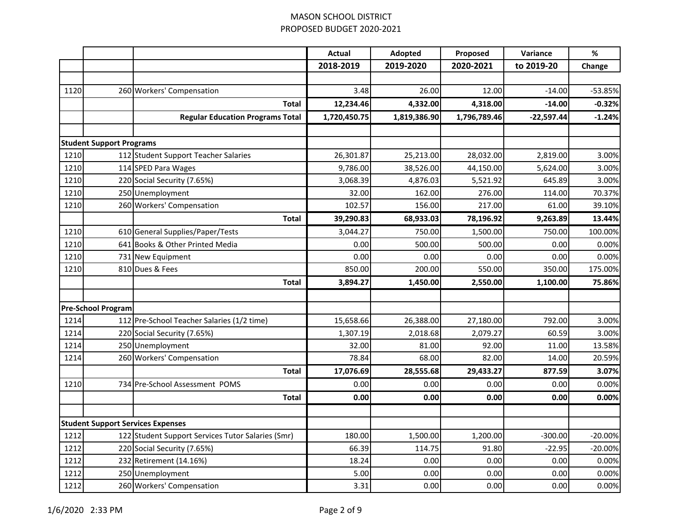|      |                                 |                                                   | <b>Actual</b> | Adopted      | Proposed     | Variance     | $\%$      |
|------|---------------------------------|---------------------------------------------------|---------------|--------------|--------------|--------------|-----------|
|      |                                 |                                                   | 2018-2019     | 2019-2020    | 2020-2021    | to 2019-20   | Change    |
|      |                                 |                                                   |               |              |              |              |           |
| 1120 |                                 | 260 Workers' Compensation                         | 3.48          | 26.00        | 12.00        | $-14.00$     | $-53.85%$ |
|      |                                 | <b>Total</b>                                      | 12,234.46     | 4,332.00     | 4,318.00     | $-14.00$     | $-0.32%$  |
|      |                                 | <b>Regular Education Programs Total</b>           | 1,720,450.75  | 1,819,386.90 | 1,796,789.46 | $-22,597.44$ | $-1.24%$  |
|      |                                 |                                                   |               |              |              |              |           |
|      | <b>Student Support Programs</b> |                                                   |               |              |              |              |           |
| 1210 |                                 | 112 Student Support Teacher Salaries              | 26,301.87     | 25,213.00    | 28,032.00    | 2,819.00     | 3.00%     |
| 1210 |                                 | 114 SPED Para Wages                               | 9,786.00      | 38,526.00    | 44,150.00    | 5,624.00     | 3.00%     |
| 1210 |                                 | 220 Social Security (7.65%)                       | 3,068.39      | 4,876.03     | 5,521.92     | 645.89       | 3.00%     |
| 1210 |                                 | 250 Unemployment                                  | 32.00         | 162.00       | 276.00       | 114.00       | 70.37%    |
| 1210 |                                 | 260 Workers' Compensation                         | 102.57        | 156.00       | 217.00       | 61.00        | 39.10%    |
|      |                                 | <b>Total</b>                                      | 39,290.83     | 68,933.03    | 78,196.92    | 9,263.89     | 13.44%    |
| 1210 |                                 | 610 General Supplies/Paper/Tests                  | 3,044.27      | 750.00       | 1,500.00     | 750.00       | 100.00%   |
| 1210 |                                 | 641 Books & Other Printed Media                   | 0.00          | 500.00       | 500.00       | 0.00         | 0.00%     |
| 1210 |                                 | 731 New Equipment                                 | 0.00          | 0.00         | 0.00         | 0.00         | 0.00%     |
| 1210 |                                 | 810 Dues & Fees                                   | 850.00        | 200.00       | 550.00       | 350.00       | 175.00%   |
|      |                                 | <b>Total</b>                                      | 3,894.27      | 1,450.00     | 2,550.00     | 1,100.00     | 75.86%    |
|      |                                 |                                                   |               |              |              |              |           |
|      | <b>Pre-School Program</b>       |                                                   |               |              |              |              |           |
| 1214 |                                 | 112 Pre-School Teacher Salaries (1/2 time)        | 15,658.66     | 26,388.00    | 27,180.00    | 792.00       | 3.00%     |
| 1214 |                                 | 220 Social Security (7.65%)                       | 1,307.19      | 2,018.68     | 2,079.27     | 60.59        | 3.00%     |
| 1214 |                                 | 250 Unemployment                                  | 32.00         | 81.00        | 92.00        | 11.00        | 13.58%    |
| 1214 |                                 | 260 Workers' Compensation                         | 78.84         | 68.00        | 82.00        | 14.00        | 20.59%    |
|      |                                 | <b>Total</b>                                      | 17,076.69     | 28,555.68    | 29,433.27    | 877.59       | 3.07%     |
| 1210 |                                 | 734 Pre-School Assessment POMS                    | 0.00          | 0.00         | 0.00         | 0.00         | 0.00%     |
|      |                                 | <b>Total</b>                                      | 0.00          | 0.00         | 0.00         | 0.00         | 0.00%     |
|      |                                 |                                                   |               |              |              |              |           |
|      |                                 | <b>Student Support Services Expenses</b>          |               |              |              |              |           |
| 1212 |                                 | 122 Student Support Services Tutor Salaries (Smr) | 180.00        | 1,500.00     | 1,200.00     | $-300.00$    | $-20.00%$ |
| 1212 |                                 | 220 Social Security (7.65%)                       | 66.39         | 114.75       | 91.80        | $-22.95$     | -20.00%   |
| 1212 |                                 | 232 Retirement (14.16%)                           | 18.24         | 0.00         | 0.00         | 0.00         | 0.00%     |
| 1212 |                                 | 250 Unemployment                                  | 5.00          | 0.00         | 0.00         | 0.00         | 0.00%     |
| 1212 |                                 | 260 Workers' Compensation                         | 3.31          | 0.00         | 0.00         | 0.00         | 0.00%     |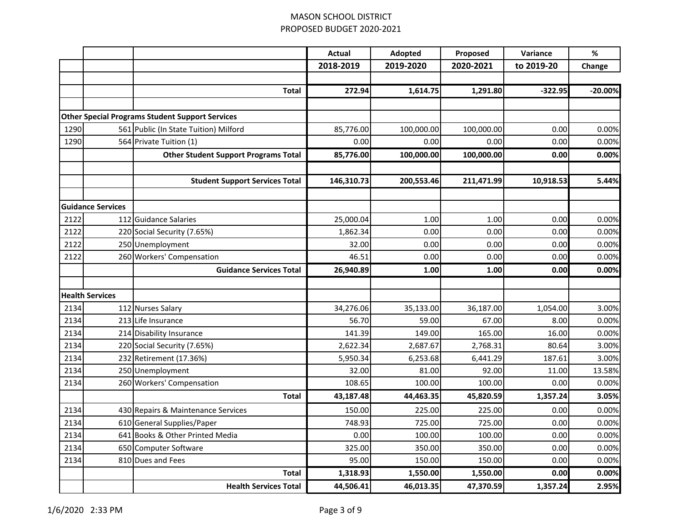|      |                          |                                                        | <b>Actual</b> | Adopted    | Proposed   | Variance   | $\%$      |
|------|--------------------------|--------------------------------------------------------|---------------|------------|------------|------------|-----------|
|      |                          |                                                        | 2018-2019     | 2019-2020  | 2020-2021  | to 2019-20 | Change    |
|      |                          |                                                        |               |            |            |            |           |
|      |                          | <b>Total</b>                                           | 272.94        | 1,614.75   | 1,291.80   | $-322.95$  | $-20.00%$ |
|      |                          |                                                        |               |            |            |            |           |
|      |                          | <b>Other Special Programs Student Support Services</b> |               |            |            |            |           |
| 1290 |                          | 561 Public (In State Tuition) Milford                  | 85,776.00     | 100,000.00 | 100,000.00 | 0.00       | 0.00%     |
| 1290 |                          | 564 Private Tuition (1)                                | 0.00          | 0.00       | 0.00       | 0.00       | 0.00%     |
|      |                          | <b>Other Student Support Programs Total</b>            | 85,776.00     | 100,000.00 | 100,000.00 | 0.00       | 0.00%     |
|      |                          |                                                        |               |            |            |            |           |
|      |                          | <b>Student Support Services Total</b>                  | 146,310.73    | 200,553.46 | 211,471.99 | 10,918.53  | 5.44%     |
|      |                          |                                                        |               |            |            |            |           |
|      | <b>Guidance Services</b> |                                                        |               |            |            |            |           |
| 2122 |                          | 112 Guidance Salaries                                  | 25,000.04     | 1.00       | 1.00       | 0.00       | 0.00%     |
| 2122 |                          | 220 Social Security (7.65%)                            | 1,862.34      | 0.00       | 0.00       | 0.00       | 0.00%     |
| 2122 |                          | 250 Unemployment                                       | 32.00         | 0.00       | 0.00       | 0.00       | 0.00%     |
| 2122 |                          | 260 Workers' Compensation                              | 46.51         | 0.00       | 0.00       | 0.00       | 0.00%     |
|      |                          | <b>Guidance Services Total</b>                         | 26,940.89     | 1.00       | 1.00       | 0.00       | 0.00%     |
|      |                          |                                                        |               |            |            |            |           |
|      | <b>Health Services</b>   |                                                        |               |            |            |            |           |
| 2134 |                          | 112 Nurses Salary                                      | 34,276.06     | 35,133.00  | 36,187.00  | 1,054.00   | 3.00%     |
| 2134 |                          | 213 Life Insurance                                     | 56.70         | 59.00      | 67.00      | 8.00       | 0.00%     |
| 2134 |                          | 214 Disability Insurance                               | 141.39        | 149.00     | 165.00     | 16.00      | 0.00%     |
| 2134 |                          | 220 Social Security (7.65%)                            | 2,622.34      | 2,687.67   | 2,768.31   | 80.64      | 3.00%     |
| 2134 |                          | 232 Retirement (17.36%)                                | 5,950.34      | 6,253.68   | 6,441.29   | 187.61     | 3.00%     |
| 2134 |                          | 250 Unemployment                                       | 32.00         | 81.00      | 92.00      | 11.00      | 13.58%    |
| 2134 |                          | 260 Workers' Compensation                              | 108.65        | 100.00     | 100.00     | 0.00       | 0.00%     |
|      |                          | <b>Total</b>                                           | 43,187.48     | 44,463.35  | 45,820.59  | 1,357.24   | 3.05%     |
| 2134 |                          | 430 Repairs & Maintenance Services                     | 150.00        | 225.00     | 225.00     | 0.00       | 0.00%     |
| 2134 |                          | 610 General Supplies/Paper                             | 748.93        | 725.00     | 725.00     | 0.00       | 0.00%     |
| 2134 |                          | 641 Books & Other Printed Media                        | 0.00          | 100.00     | 100.00     | 0.00       | 0.00%     |
| 2134 |                          | 650 Computer Software                                  | 325.00        | 350.00     | 350.00     | 0.00       | 0.00%     |
| 2134 |                          | 810 Dues and Fees                                      | 95.00         | 150.00     | 150.00     | 0.00       | 0.00%     |
|      |                          | <b>Total</b>                                           | 1,318.93      | 1,550.00   | 1,550.00   | 0.00       | 0.00%     |
|      |                          | <b>Health Services Total</b>                           | 44,506.41     | 46,013.35  | 47,370.59  | 1,357.24   | 2.95%     |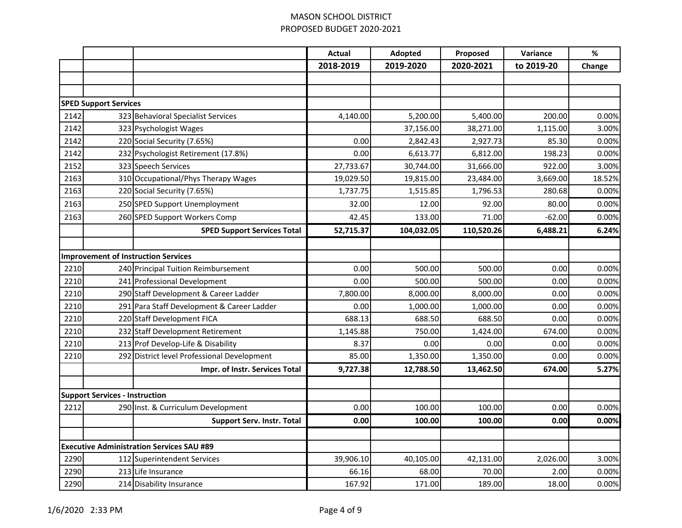|      |                                       |                                                  | <b>Actual</b> | Adopted    | Proposed   | Variance   | $\%$   |
|------|---------------------------------------|--------------------------------------------------|---------------|------------|------------|------------|--------|
|      |                                       |                                                  | 2018-2019     | 2019-2020  | 2020-2021  | to 2019-20 | Change |
|      |                                       |                                                  |               |            |            |            |        |
|      |                                       |                                                  |               |            |            |            |        |
|      | <b>SPED Support Services</b>          |                                                  |               |            |            |            |        |
| 2142 |                                       | 323 Behavioral Specialist Services               | 4,140.00      | 5,200.00   | 5,400.00   | 200.00     | 0.00%  |
| 2142 |                                       | 323 Psychologist Wages                           |               | 37,156.00  | 38,271.00  | 1,115.00   | 3.00%  |
| 2142 |                                       | 220 Social Security (7.65%)                      | 0.00          | 2,842.43   | 2,927.73   | 85.30      | 0.00%  |
| 2142 |                                       | 232 Psychologist Retirement (17.8%)              | 0.00          | 6,613.77   | 6,812.00   | 198.23     | 0.00%  |
| 2152 |                                       | 323 Speech Services                              | 27,733.67     | 30,744.00  | 31,666.00  | 922.00     | 3.00%  |
| 2163 |                                       | 310 Occupational/Phys Therapy Wages              | 19,029.50     | 19,815.00  | 23,484.00  | 3,669.00   | 18.52% |
| 2163 |                                       | 220 Social Security (7.65%)                      | 1,737.75      | 1,515.85   | 1,796.53   | 280.68     | 0.00%  |
| 2163 |                                       | 250 SPED Support Unemployment                    | 32.00         | 12.00      | 92.00      | 80.00      | 0.00%  |
| 2163 |                                       | 260 SPED Support Workers Comp                    | 42.45         | 133.00     | 71.00      | $-62.00$   | 0.00%  |
|      |                                       | <b>SPED Support Services Total</b>               | 52,715.37     | 104,032.05 | 110,520.26 | 6,488.21   | 6.24%  |
|      |                                       |                                                  |               |            |            |            |        |
|      |                                       | <b>Improvement of Instruction Services</b>       |               |            |            |            |        |
| 2210 |                                       | 240 Principal Tuition Reimbursement              | 0.00          | 500.00     | 500.00     | 0.00       | 0.00%  |
| 2210 |                                       | 241 Professional Development                     | 0.00          | 500.00     | 500.00     | 0.00       | 0.00%  |
| 2210 |                                       | 290 Staff Development & Career Ladder            | 7,800.00      | 8,000.00   | 8,000.00   | 0.00       | 0.00%  |
| 2210 |                                       | 291 Para Staff Development & Career Ladder       | 0.00          | 1,000.00   | 1,000.00   | 0.00       | 0.00%  |
| 2210 |                                       | 220 Staff Development FICA                       | 688.13        | 688.50     | 688.50     | 0.00       | 0.00%  |
| 2210 |                                       | 232 Staff Development Retirement                 | 1,145.88      | 750.00     | 1,424.00   | 674.00     | 0.00%  |
| 2210 |                                       | 213 Prof Develop-Life & Disability               | 8.37          | 0.00       | 0.00       | 0.00       | 0.00%  |
| 2210 |                                       | 292 District level Professional Development      | 85.00         | 1,350.00   | 1,350.00   | 0.00       | 0.00%  |
|      |                                       | Impr. of Instr. Services Total                   | 9,727.38      | 12,788.50  | 13,462.50  | 674.00     | 5.27%  |
|      |                                       |                                                  |               |            |            |            |        |
|      | <b>Support Services - Instruction</b> |                                                  |               |            |            |            |        |
| 2212 |                                       | 290 Inst. & Curriculum Development               | 0.00          | 100.00     | 100.00     | 0.00       | 0.00%  |
|      |                                       | <b>Support Serv. Instr. Total</b>                | 0.00          | 100.00     | 100.00     | 0.00       | 0.00%  |
|      |                                       |                                                  |               |            |            |            |        |
|      |                                       | <b>Executive Administration Services SAU #89</b> |               |            |            |            |        |
| 2290 |                                       | 112 Superintendent Services                      | 39,906.10     | 40,105.00  | 42,131.00  | 2,026.00   | 3.00%  |
| 2290 |                                       | 213 Life Insurance                               | 66.16         | 68.00      | 70.00      | 2.00       | 0.00%  |
| 2290 |                                       | 214 Disability Insurance                         | 167.92        | 171.00     | 189.00     | 18.00      | 0.00%  |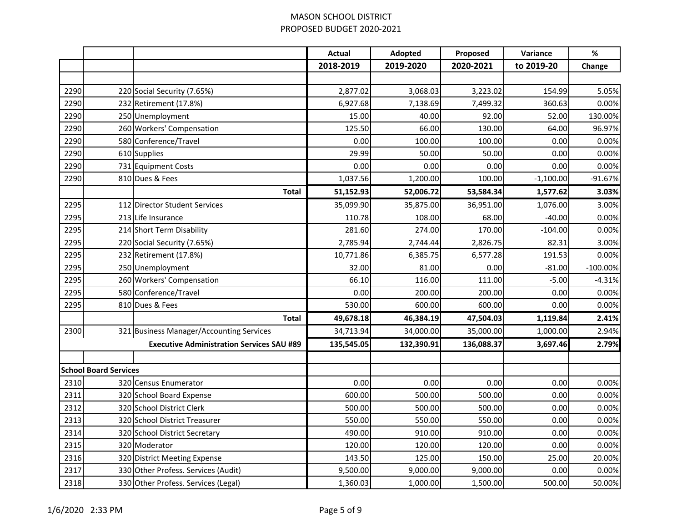|      |                              |                                                  | <b>Actual</b> | Adopted    | Proposed   | Variance    | $\%$       |
|------|------------------------------|--------------------------------------------------|---------------|------------|------------|-------------|------------|
|      |                              |                                                  | 2018-2019     | 2019-2020  | 2020-2021  | to 2019-20  | Change     |
|      |                              |                                                  |               |            |            |             |            |
| 2290 |                              | 220 Social Security (7.65%)                      | 2,877.02      | 3,068.03   | 3,223.02   | 154.99      | 5.05%      |
| 2290 |                              | 232 Retirement (17.8%)                           | 6,927.68      | 7,138.69   | 7,499.32   | 360.63      | 0.00%      |
| 2290 |                              | 250 Unemployment                                 | 15.00         | 40.00      | 92.00      | 52.00       | 130.00%    |
| 2290 |                              | 260 Workers' Compensation                        | 125.50        | 66.00      | 130.00     | 64.00       | 96.97%     |
| 2290 |                              | 580 Conference/Travel                            | 0.00          | 100.00     | 100.00     | 0.00        | 0.00%      |
| 2290 |                              | 610 Supplies                                     | 29.99         | 50.00      | 50.00      | 0.00        | 0.00%      |
| 2290 |                              | 731 Equipment Costs                              | 0.00          | 0.00       | 0.00       | 0.00        | 0.00%      |
| 2290 |                              | 810 Dues & Fees                                  | 1,037.56      | 1,200.00   | 100.00     | $-1,100.00$ | $-91.67%$  |
|      |                              | <b>Total</b>                                     | 51,152.93     | 52,006.72  | 53,584.34  | 1,577.62    | 3.03%      |
| 2295 |                              | 112 Director Student Services                    | 35,099.90     | 35,875.00  | 36,951.00  | 1,076.00    | 3.00%      |
| 2295 |                              | 213 Life Insurance                               | 110.78        | 108.00     | 68.00      | $-40.00$    | 0.00%      |
| 2295 |                              | 214 Short Term Disability                        | 281.60        | 274.00     | 170.00     | $-104.00$   | 0.00%      |
| 2295 |                              | 220 Social Security (7.65%)                      | 2,785.94      | 2,744.44   | 2,826.75   | 82.31       | 3.00%      |
| 2295 |                              | 232 Retirement (17.8%)                           | 10,771.86     | 6,385.75   | 6,577.28   | 191.53      | 0.00%      |
| 2295 |                              | 250 Unemployment                                 | 32.00         | 81.00      | 0.00       | $-81.00$    | $-100.00%$ |
| 2295 |                              | 260 Workers' Compensation                        | 66.10         | 116.00     | 111.00     | $-5.00$     | $-4.31%$   |
| 2295 |                              | 580 Conference/Travel                            | 0.00          | 200.00     | 200.00     | 0.00        | 0.00%      |
| 2295 |                              | 810 Dues & Fees                                  | 530.00        | 600.00     | 600.00     | 0.00        | 0.00%      |
|      |                              | <b>Total</b>                                     | 49,678.18     | 46,384.19  | 47,504.03  | 1,119.84    | 2.41%      |
| 2300 |                              | 321 Business Manager/Accounting Services         | 34,713.94     | 34,000.00  | 35,000.00  | 1,000.00    | 2.94%      |
|      |                              | <b>Executive Administration Services SAU #89</b> | 135,545.05    | 132,390.91 | 136,088.37 | 3,697.46    | 2.79%      |
|      |                              |                                                  |               |            |            |             |            |
|      | <b>School Board Services</b> |                                                  |               |            |            |             |            |
| 2310 |                              | 320 Census Enumerator                            | 0.00          | 0.00       | 0.00       | 0.00        | 0.00%      |
| 2311 |                              | 320 School Board Expense                         | 600.00        | 500.00     | 500.00     | 0.00        | 0.00%      |
| 2312 |                              | 320 School District Clerk                        | 500.00        | 500.00     | 500.00     | 0.00        | 0.00%      |
| 2313 |                              | 320 School District Treasurer                    | 550.00        | 550.00     | 550.00     | 0.00        | 0.00%      |
| 2314 |                              | 320 School District Secretary                    | 490.00        | 910.00     | 910.00     | 0.00        | 0.00%      |
| 2315 |                              | 320 Moderator                                    | 120.00        | 120.00     | 120.00     | 0.00        | 0.00%      |
| 2316 |                              | 320 District Meeting Expense                     | 143.50        | 125.00     | 150.00     | 25.00       | 20.00%     |
| 2317 |                              | 330 Other Profess. Services (Audit)              | 9,500.00      | 9,000.00   | 9,000.00   | 0.00        | 0.00%      |
| 2318 |                              | 330 Other Profess. Services (Legal)              | 1,360.03      | 1,000.00   | 1,500.00   | 500.00      | 50.00%     |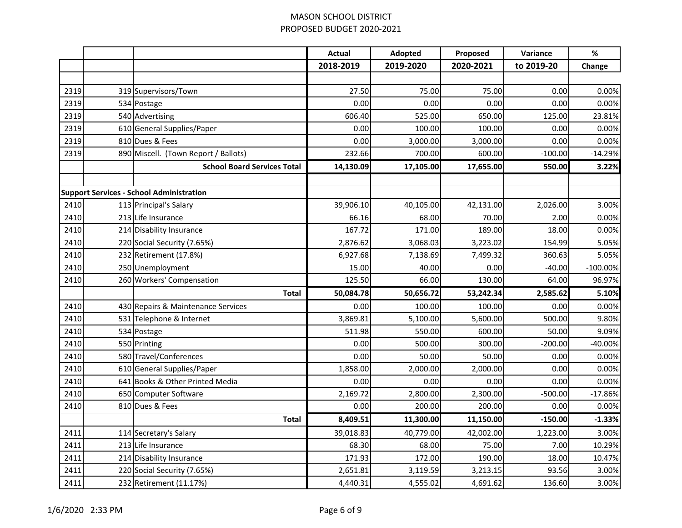|      |                                                 | <b>Actual</b> | Adopted   | Proposed  | Variance   | $\%$       |
|------|-------------------------------------------------|---------------|-----------|-----------|------------|------------|
|      |                                                 | 2018-2019     | 2019-2020 | 2020-2021 | to 2019-20 | Change     |
|      |                                                 |               |           |           |            |            |
| 2319 | 319 Supervisors/Town                            | 27.50         | 75.00     | 75.00     | 0.00       | 0.00%      |
| 2319 | 534 Postage                                     | 0.00          | 0.00      | 0.00      | 0.00       | 0.00%      |
| 2319 | 540 Advertising                                 | 606.40        | 525.00    | 650.00    | 125.00     | 23.81%     |
| 2319 | 610 General Supplies/Paper                      | 0.00          | 100.00    | 100.00    | 0.00       | 0.00%      |
| 2319 | 810 Dues & Fees                                 | 0.00          | 3,000.00  | 3,000.00  | 0.00       | 0.00%      |
| 2319 | 890 Miscell. (Town Report / Ballots)            | 232.66        | 700.00    | 600.00    | $-100.00$  | $-14.29%$  |
|      | <b>School Board Services Total</b>              | 14,130.09     | 17,105.00 | 17,655.00 | 550.00     | 3.22%      |
|      |                                                 |               |           |           |            |            |
|      | <b>Support Services - School Administration</b> |               |           |           |            |            |
| 2410 | 113 Principal's Salary                          | 39,906.10     | 40,105.00 | 42,131.00 | 2,026.00   | 3.00%      |
| 2410 | 213 Life Insurance                              | 66.16         | 68.00     | 70.00     | 2.00       | 0.00%      |
| 2410 | 214 Disability Insurance                        | 167.72        | 171.00    | 189.00    | 18.00      | 0.00%      |
| 2410 | 220 Social Security (7.65%)                     | 2,876.62      | 3,068.03  | 3,223.02  | 154.99     | 5.05%      |
| 2410 | 232 Retirement (17.8%)                          | 6,927.68      | 7,138.69  | 7,499.32  | 360.63     | 5.05%      |
| 2410 | 250 Unemployment                                | 15.00         | 40.00     | 0.00      | $-40.00$   | $-100.00%$ |
| 2410 | 260 Workers' Compensation                       | 125.50        | 66.00     | 130.00    | 64.00      | 96.97%     |
|      | <b>Total</b>                                    | 50,084.78     | 50,656.72 | 53,242.34 | 2,585.62   | 5.10%      |
| 2410 | 430 Repairs & Maintenance Services              | 0.00          | 100.00    | 100.00    | 0.00       | 0.00%      |
| 2410 | 531 Telephone & Internet                        | 3,869.81      | 5,100.00  | 5,600.00  | 500.00     | 9.80%      |
| 2410 | 534 Postage                                     | 511.98        | 550.00    | 600.00    | 50.00      | 9.09%      |
| 2410 | 550 Printing                                    | 0.00          | 500.00    | 300.00    | $-200.00$  | $-40.00%$  |
| 2410 | 580 Travel/Conferences                          | 0.00          | 50.00     | 50.00     | 0.00       | 0.00%      |
| 2410 | 610 General Supplies/Paper                      | 1,858.00      | 2,000.00  | 2,000.00  | 0.00       | 0.00%      |
| 2410 | 641 Books & Other Printed Media                 | 0.00          | 0.00      | 0.00      | 0.00       | 0.00%      |
| 2410 | 650 Computer Software                           | 2,169.72      | 2,800.00  | 2,300.00  | $-500.00$  | $-17.86%$  |
| 2410 | 810 Dues & Fees                                 | 0.00          | 200.00    | 200.00    | 0.00       | 0.00%      |
|      | <b>Total</b>                                    | 8,409.51      | 11,300.00 | 11,150.00 | $-150.00$  | $-1.33%$   |
| 2411 | 114 Secretary's Salary                          | 39,018.83     | 40,779.00 | 42,002.00 | 1,223.00   | 3.00%      |
| 2411 | 213 Life Insurance                              | 68.30         | 68.00     | 75.00     | 7.00       | 10.29%     |
| 2411 | 214 Disability Insurance                        | 171.93        | 172.00    | 190.00    | 18.00      | 10.47%     |
| 2411 | 220 Social Security (7.65%)                     | 2,651.81      | 3,119.59  | 3,213.15  | 93.56      | 3.00%      |
| 2411 | 232 Retirement (11.17%)                         | 4,440.31      | 4,555.02  | 4,691.62  | 136.60     | 3.00%      |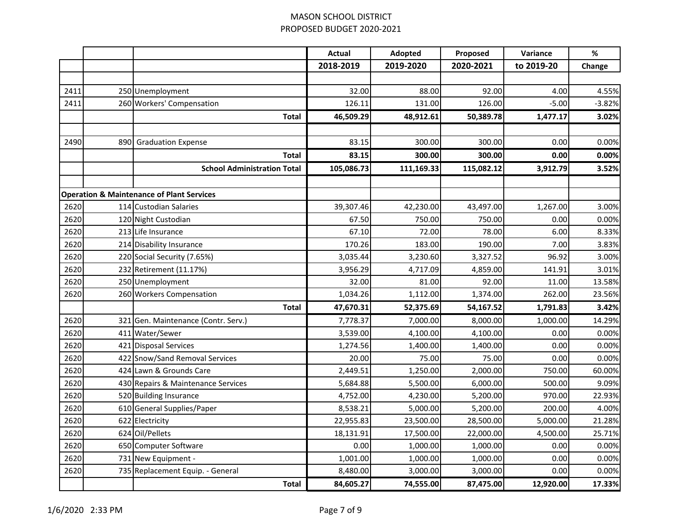|      |                                                      | <b>Actual</b> | Adopted    | Proposed   | Variance   | $\%$     |
|------|------------------------------------------------------|---------------|------------|------------|------------|----------|
|      |                                                      | 2018-2019     | 2019-2020  | 2020-2021  | to 2019-20 | Change   |
|      |                                                      |               |            |            |            |          |
| 2411 | 250 Unemployment                                     | 32.00         | 88.00      | 92.00      | 4.00       | 4.55%    |
| 2411 | 260 Workers' Compensation                            | 126.11        | 131.00     | 126.00     | $-5.00$    | $-3.82%$ |
|      | <b>Total</b>                                         | 46,509.29     | 48,912.61  | 50,389.78  | 1,477.17   | 3.02%    |
|      |                                                      |               |            |            |            |          |
| 2490 | 890 Graduation Expense                               | 83.15         | 300.00     | 300.00     | 0.00       | 0.00%    |
|      | <b>Total</b>                                         | 83.15         | 300.00     | 300.00     | 0.00       | 0.00%    |
|      | <b>School Administration Total</b>                   | 105,086.73    | 111,169.33 | 115,082.12 | 3,912.79   | 3.52%    |
|      |                                                      |               |            |            |            |          |
|      | <b>Operation &amp; Maintenance of Plant Services</b> |               |            |            |            |          |
| 2620 | 114 Custodian Salaries                               | 39,307.46     | 42,230.00  | 43,497.00  | 1,267.00   | 3.00%    |
| 2620 | 120 Night Custodian                                  | 67.50         | 750.00     | 750.00     | 0.00       | 0.00%    |
| 2620 | 213 Life Insurance                                   | 67.10         | 72.00      | 78.00      | 6.00       | 8.33%    |
| 2620 | 214 Disability Insurance                             | 170.26        | 183.00     | 190.00     | 7.00       | 3.83%    |
| 2620 | 220 Social Security (7.65%)                          | 3,035.44      | 3,230.60   | 3,327.52   | 96.92      | 3.00%    |
| 2620 | 232 Retirement (11.17%)                              | 3,956.29      | 4,717.09   | 4,859.00   | 141.91     | 3.01%    |
| 2620 | 250 Unemployment                                     | 32.00         | 81.00      | 92.00      | 11.00      | 13.58%   |
| 2620 | 260 Workers Compensation                             | 1,034.26      | 1,112.00   | 1,374.00   | 262.00     | 23.56%   |
|      | <b>Total</b>                                         | 47,670.31     | 52,375.69  | 54,167.52  | 1,791.83   | 3.42%    |
| 2620 | 321 Gen. Maintenance (Contr. Serv.)                  | 7,778.37      | 7,000.00   | 8,000.00   | 1,000.00   | 14.29%   |
| 2620 | 411 Water/Sewer                                      | 3,539.00      | 4,100.00   | 4,100.00   | 0.00       | 0.00%    |
| 2620 | 421 Disposal Services                                | 1,274.56      | 1,400.00   | 1,400.00   | 0.00       | 0.00%    |
| 2620 | 422 Snow/Sand Removal Services                       | 20.00         | 75.00      | 75.00      | 0.00       | 0.00%    |
| 2620 | 424 Lawn & Grounds Care                              | 2,449.51      | 1,250.00   | 2,000.00   | 750.00     | 60.00%   |
| 2620 | 430 Repairs & Maintenance Services                   | 5,684.88      | 5,500.00   | 6,000.00   | 500.00     | 9.09%    |
| 2620 | 520 Building Insurance                               | 4,752.00      | 4,230.00   | 5,200.00   | 970.00     | 22.93%   |
| 2620 | 610 General Supplies/Paper                           | 8,538.21      | 5,000.00   | 5,200.00   | 200.00     | 4.00%    |
| 2620 | 622 Electricity                                      | 22,955.83     | 23,500.00  | 28,500.00  | 5,000.00   | 21.28%   |
| 2620 | 624 Oil/Pellets                                      | 18,131.91     | 17,500.00  | 22,000.00  | 4,500.00   | 25.71%   |
| 2620 | 650 Computer Software                                | 0.00          | 1,000.00   | 1,000.00   | 0.00       | 0.00%    |
| 2620 | 731 New Equipment -                                  | 1,001.00      | 1,000.00   | 1,000.00   | 0.00       | 0.00%    |
| 2620 | 735 Replacement Equip. - General                     | 8,480.00      | 3,000.00   | 3,000.00   | 0.00       | 0.00%    |
|      | <b>Total</b>                                         | 84,605.27     | 74,555.00  | 87,475.00  | 12,920.00  | 17.33%   |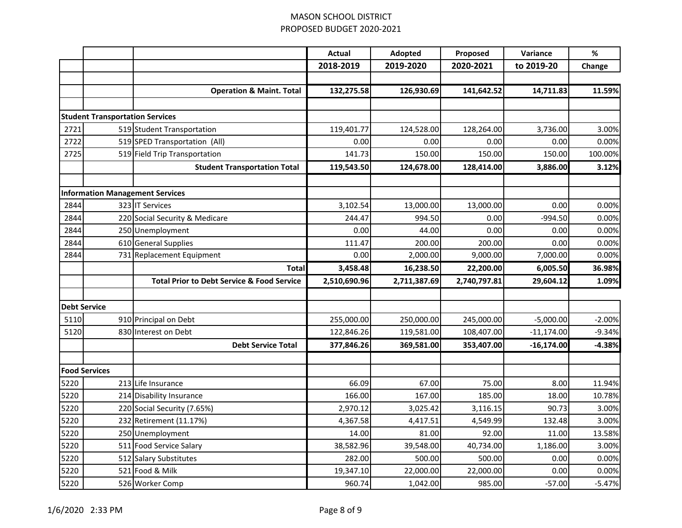|                     |                                        |                                                       | <b>Actual</b> | Adopted      | Proposed     | Variance     | $\%$     |
|---------------------|----------------------------------------|-------------------------------------------------------|---------------|--------------|--------------|--------------|----------|
|                     |                                        |                                                       | 2018-2019     | 2019-2020    | 2020-2021    | to 2019-20   | Change   |
|                     |                                        |                                                       |               |              |              |              |          |
|                     |                                        | <b>Operation &amp; Maint. Total</b>                   | 132,275.58    | 126,930.69   | 141,642.52   | 14,711.83    | 11.59%   |
|                     |                                        |                                                       |               |              |              |              |          |
|                     | <b>Student Transportation Services</b> |                                                       |               |              |              |              |          |
| 2721                |                                        | 519 Student Transportation                            | 119,401.77    | 124,528.00   | 128,264.00   | 3,736.00     | 3.00%    |
| 2722                |                                        | 519 SPED Transportation (All)                         | 0.00          | 0.00         | 0.00         | 0.00         | 0.00%    |
| 2725                |                                        | 519 Field Trip Transportation                         | 141.73        | 150.00       | 150.00       | 150.00       | 100.00%  |
|                     |                                        | <b>Student Transportation Total</b>                   | 119,543.50    | 124,678.00   | 128,414.00   | 3,886.00     | 3.12%    |
|                     |                                        | <b>Information Management Services</b>                |               |              |              |              |          |
| 2844                |                                        | 323 IT Services                                       | 3,102.54      | 13,000.00    | 13,000.00    | 0.00         | 0.00%    |
| 2844                |                                        | 220 Social Security & Medicare                        | 244.47        | 994.50       | 0.00         | $-994.50$    | 0.00%    |
| 2844                |                                        | 250 Unemployment                                      | 0.00          | 44.00        | 0.00         | 0.00         | 0.00%    |
| 2844                |                                        | 610 General Supplies                                  | 111.47        | 200.00       | 200.00       | 0.00         | 0.00%    |
| 2844                |                                        | 731 Replacement Equipment                             | 0.00          | 2,000.00     | 9,000.00     | 7,000.00     | 0.00%    |
|                     |                                        | <b>Total</b>                                          | 3,458.48      | 16,238.50    | 22,200.00    | 6,005.50     | 36.98%   |
|                     |                                        | <b>Total Prior to Debt Service &amp; Food Service</b> | 2,510,690.96  | 2,711,387.69 | 2,740,797.81 | 29,604.12    | 1.09%    |
|                     |                                        |                                                       |               |              |              |              |          |
| <b>Debt Service</b> |                                        |                                                       |               |              |              |              |          |
| 5110                |                                        | 910 Principal on Debt                                 | 255,000.00    | 250,000.00   | 245,000.00   | $-5,000.00$  | $-2.00%$ |
| 5120                |                                        | 830 Interest on Debt                                  | 122,846.26    | 119,581.00   | 108,407.00   | $-11,174.00$ | $-9.34%$ |
|                     |                                        | <b>Debt Service Total</b>                             | 377,846.26    | 369,581.00   | 353,407.00   | $-16,174.00$ | $-4.38%$ |
|                     | <b>Food Services</b>                   |                                                       |               |              |              |              |          |
| 5220                |                                        | 213 Life Insurance                                    | 66.09         | 67.00        | 75.00        | 8.00         | 11.94%   |
| 5220                |                                        | 214 Disability Insurance                              | 166.00        | 167.00       | 185.00       | 18.00        | 10.78%   |
| 5220                |                                        | 220 Social Security (7.65%)                           | 2,970.12      | 3,025.42     | 3,116.15     | 90.73        | 3.00%    |
| 5220                |                                        | 232 Retirement (11.17%)                               | 4,367.58      | 4,417.51     | 4,549.99     | 132.48       | 3.00%    |
| 5220                |                                        | 250 Unemployment                                      | 14.00         | 81.00        | 92.00        | 11.00        | 13.58%   |
| 5220                |                                        | 511 Food Service Salary                               | 38,582.96     | 39,548.00    | 40,734.00    | 1,186.00     | 3.00%    |
| 5220                |                                        | 512 Salary Substitutes                                | 282.00        | 500.00       | 500.00       | 0.00         | 0.00%    |
| 5220                |                                        | 521 Food & Milk                                       | 19,347.10     | 22,000.00    | 22,000.00    | 0.00         | 0.00%    |
| 5220                |                                        | 526 Worker Comp                                       | 960.74        | 1,042.00     | 985.00       | $-57.00$     | $-5.47%$ |